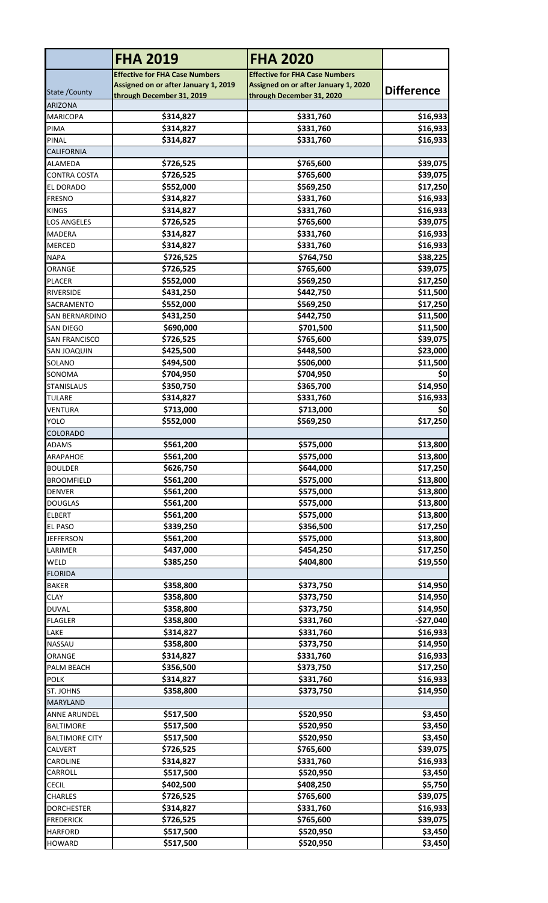|                                            | <b>FHA 2019</b>                       | <b>FHA 2020</b>                       |                      |
|--------------------------------------------|---------------------------------------|---------------------------------------|----------------------|
|                                            | <b>Effective for FHA Case Numbers</b> | <b>Effective for FHA Case Numbers</b> |                      |
| State / County                             | Assigned on or after January 1, 2019  | Assigned on or after January 1, 2020  | <b>Difference</b>    |
| <b>ARIZONA</b>                             | through December 31, 2019             | through December 31, 2020             |                      |
| <b>MARICOPA</b>                            | \$314,827                             | \$331,760                             | \$16,933             |
| PIMA                                       | \$314,827                             | \$331,760                             | \$16,933             |
| PINAL                                      | \$314,827                             | \$331,760                             | \$16,933             |
| <b>CALIFORNIA</b>                          |                                       |                                       |                      |
| ALAMEDA                                    | \$726,525                             | \$765,600                             | \$39,075             |
| <b>CONTRA COSTA</b>                        | \$726,525                             | \$765,600                             | \$39,075             |
| <b>EL DORADO</b>                           | \$552,000                             | \$569,250                             | \$17,250             |
| <b>FRESNO</b>                              | \$314,827                             | \$331,760                             | \$16,933             |
| <b>KINGS</b><br><b>LOS ANGELES</b>         | \$314,827<br>\$726,525                | \$331,760<br>\$765,600                | \$16,933<br>\$39,075 |
| MADERA                                     | \$314,827                             | \$331,760                             | \$16,933             |
| MERCED                                     | \$314,827                             | \$331,760                             | \$16,933             |
| <b>NAPA</b>                                | \$726,525                             | \$764,750                             | \$38,225             |
| ORANGE                                     | \$726,525                             | \$765,600                             | \$39,075             |
| <b>PLACER</b>                              | \$552,000                             | \$569,250                             | \$17,250             |
| <b>RIVERSIDE</b>                           | \$431,250                             | \$442,750                             | \$11,500             |
| SACRAMENTO                                 | \$552,000                             | \$569,250                             | \$17,250             |
| SAN BERNARDINO                             | \$431,250                             | \$442,750                             | \$11,500             |
| <b>SAN DIEGO</b>                           | \$690,000                             | \$701,500                             | \$11,500             |
| <b>SAN FRANCISCO</b><br><b>SAN JOAQUIN</b> | \$726,525<br>\$425,500                | \$765,600<br>\$448,500                | \$39,075<br>\$23,000 |
| SOLANO                                     | \$494,500                             | \$506,000                             | \$11,500             |
| SONOMA                                     | \$704,950                             | \$704,950                             | \$0                  |
| <b>STANISLAUS</b>                          | \$350,750                             | \$365,700                             | \$14,950             |
| <b>TULARE</b>                              | \$314,827                             | \$331,760                             | \$16,933             |
| <b>VENTURA</b>                             | \$713,000                             | \$713,000                             | \$0                  |
| <b>YOLO</b>                                | \$552,000                             | \$569,250                             | \$17,250             |
| <b>COLORADO</b>                            |                                       |                                       |                      |
| <b>ADAMS</b>                               | \$561.200                             | \$575,000                             | \$13,800             |
| <b>ARAPAHOE</b><br><b>BOULDER</b>          | \$561,200<br>\$626,750                | \$575,000<br>\$644,000                | \$13,800<br>\$17,250 |
| <b>BROOMFIELD</b>                          | \$561,200                             | \$575,000                             | \$13,800             |
| <b>DENVER</b>                              | \$561,200                             | \$575,000                             | \$13,800             |
| <b>DOUGLAS</b>                             | \$561,200                             | \$575,000                             | \$13,800             |
| <b>ELBERT</b>                              | \$561,200                             | \$575,000                             | \$13,800             |
| <b>EL PASO</b>                             | \$339,250                             | \$356,500                             | \$17,250             |
| <b>JEFFERSON</b>                           | \$561,200                             | \$575,000                             | \$13,800             |
| LARIMER                                    | \$437,000                             | \$454,250                             | \$17,250             |
| WELD                                       | \$385,250                             | \$404,800                             | \$19,550             |
| <b>FLORIDA</b><br><b>BAKER</b>             | \$358,800                             | \$373,750                             | \$14,950             |
| <b>CLAY</b>                                | \$358,800                             | \$373,750                             | \$14,950             |
| <b>DUVAL</b>                               | \$358,800                             | \$373,750                             | \$14,950             |
| <b>FLAGLER</b>                             | \$358,800                             | \$331,760                             | $-$27,040$           |
| LAKE                                       | \$314,827                             | \$331,760                             | \$16,933             |
| NASSAU                                     | \$358,800                             | \$373,750                             | \$14,950             |
| ORANGE                                     | \$314,827                             | \$331,760                             | \$16,933             |
| PALM BEACH                                 | \$356,500                             | \$373,750                             | \$17,250             |
| <b>POLK</b>                                | \$314,827                             | \$331,760                             | \$16,933             |
| ST. JOHNS                                  | \$358,800                             | \$373,750                             | \$14,950             |
| <b>MARYLAND</b><br><b>ANNE ARUNDEL</b>     | \$517,500                             | \$520,950                             | \$3,450              |
| <b>BALTIMORE</b>                           | \$517,500                             | \$520,950                             | \$3,450              |
| <b>BALTIMORE CITY</b>                      | \$517,500                             | \$520,950                             | \$3,450              |
| <b>CALVERT</b>                             | \$726,525                             | \$765,600                             | \$39,075             |
| CAROLINE                                   | \$314,827                             | \$331,760                             | \$16,933             |
| CARROLL                                    | \$517,500                             | \$520,950                             | \$3,450              |
| <b>CECIL</b>                               | \$402,500                             | \$408,250                             | \$5,750              |
| <b>CHARLES</b>                             | \$726,525                             | \$765,600                             | \$39,075             |
| <b>DORCHESTER</b>                          | \$314,827                             | \$331,760                             | \$16,933             |
| <b>FREDERICK</b>                           | \$726,525                             | \$765,600                             | \$39,075             |
| <b>HARFORD</b><br><b>HOWARD</b>            | \$517,500<br>\$517,500                | \$520,950<br>\$520,950                | \$3,450<br>\$3,450   |
|                                            |                                       |                                       |                      |